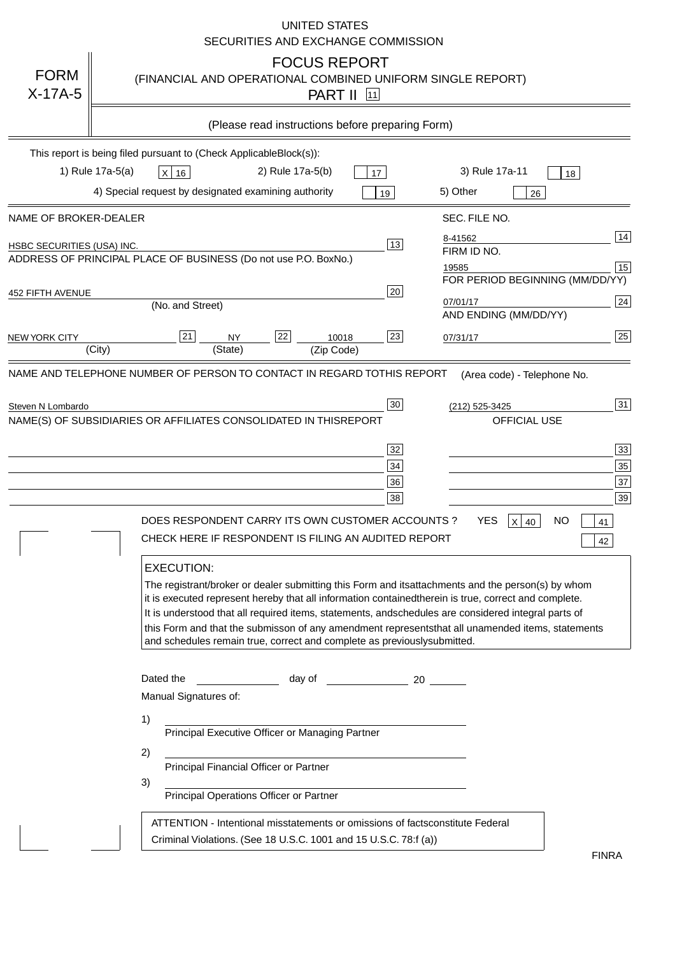|                                   | <b>UNITED STATES</b><br>SECURITIES AND EXCHANGE COMMISSION                                                                                                                                                                                                                                                                                                                                                                                                                                                                                                                                          |
|-----------------------------------|-----------------------------------------------------------------------------------------------------------------------------------------------------------------------------------------------------------------------------------------------------------------------------------------------------------------------------------------------------------------------------------------------------------------------------------------------------------------------------------------------------------------------------------------------------------------------------------------------------|
| <b>FORM</b><br>$X-17A-5$          | <b>FOCUS REPORT</b><br>(FINANCIAL AND OPERATIONAL COMBINED UNIFORM SINGLE REPORT)<br><b>PART II 11</b>                                                                                                                                                                                                                                                                                                                                                                                                                                                                                              |
|                                   | (Please read instructions before preparing Form)                                                                                                                                                                                                                                                                                                                                                                                                                                                                                                                                                    |
|                                   | This report is being filed pursuant to (Check Applicable<br>$Block(s)$ :<br>3) Rule 17a-11<br>1) Rule 17a-5(a)<br>2) Rule 17a-5(b)<br>$X$ 16<br>17<br>18<br>4) Special request by designated examining authority<br>5) Other<br>19<br>26                                                                                                                                                                                                                                                                                                                                                            |
| NAME OF BROKER-DEALER             | SEC. FILE NO.                                                                                                                                                                                                                                                                                                                                                                                                                                                                                                                                                                                       |
| <b>HSBC SECURITIES (USA) INC.</b> | 14<br>8-41562<br>13<br>FIRM ID NO.<br>ADDRESS OF PRINCIPAL PLACE OF BUSINESS (Do not use P.O. Box<br>No.)<br>$\boxed{15}$<br>19585<br>FOR PERIOD BEGINNING (MM/DD/YY)                                                                                                                                                                                                                                                                                                                                                                                                                               |
| <b>452 FIFTH AVENUE</b>           | 20<br>24<br>07/01/17<br>(No. and Street)<br>AND ENDING (MM/DD/YY)                                                                                                                                                                                                                                                                                                                                                                                                                                                                                                                                   |
| <b>NEW YORK CITY</b>              | 25<br>21<br>22<br>23<br><b>NY</b><br>10018<br>07/31/17<br>(City)<br>(State)<br>(Zip Code)                                                                                                                                                                                                                                                                                                                                                                                                                                                                                                           |
| Steven N Lombardo                 | 31<br>30<br>(212) 525-3425<br>NAME(S) OF SUBSIDIARIES OR AFFILIATES CONSOLIDATED IN THIS<br><b>REPORT</b><br><b>OFFICIAL USE</b><br>33<br>32<br>35<br>$34$<br>37<br>36<br>39<br>38<br><b>YES</b><br>DOES RESPONDENT CARRY ITS OWN CUSTOMER ACCOUNTS?<br>$X$ 40<br>ΝO<br>41<br>CHECK HERE IF RESPONDENT IS FILING AN AUDITED REPORT<br>42<br><b>EXECUTION:</b><br>The registrant/broker or dealer submitting this Form and its<br>attachments and the person(s) by whom<br>it is executed represent hereby that all information contained<br>therein is true, correct and complete.                  |
|                                   | It is understood that all required items, statements, and<br>schedules are considered integral parts of<br>this Form and that the submisson of any amendment represents<br>that all unamended items, statements<br>and schedules remain true, correct and complete as previously<br>submitted.<br>Dated the<br>day of<br>20<br>Manual Signatures of:<br>1)<br>Principal Executive Officer or Managing Partner<br>2)<br>Principal Financial Officer or Partner<br>3)<br>Principal Operations Officer or Partner<br>ATTENTION - Intentional misstatements or omissions of facts<br>constitute Federal |
|                                   | Criminal Violations. (See 18 U.S.C. 1001 and 15 U.S.C. 78:f (a)<br><b>FINRA</b>                                                                                                                                                                                                                                                                                                                                                                                                                                                                                                                     |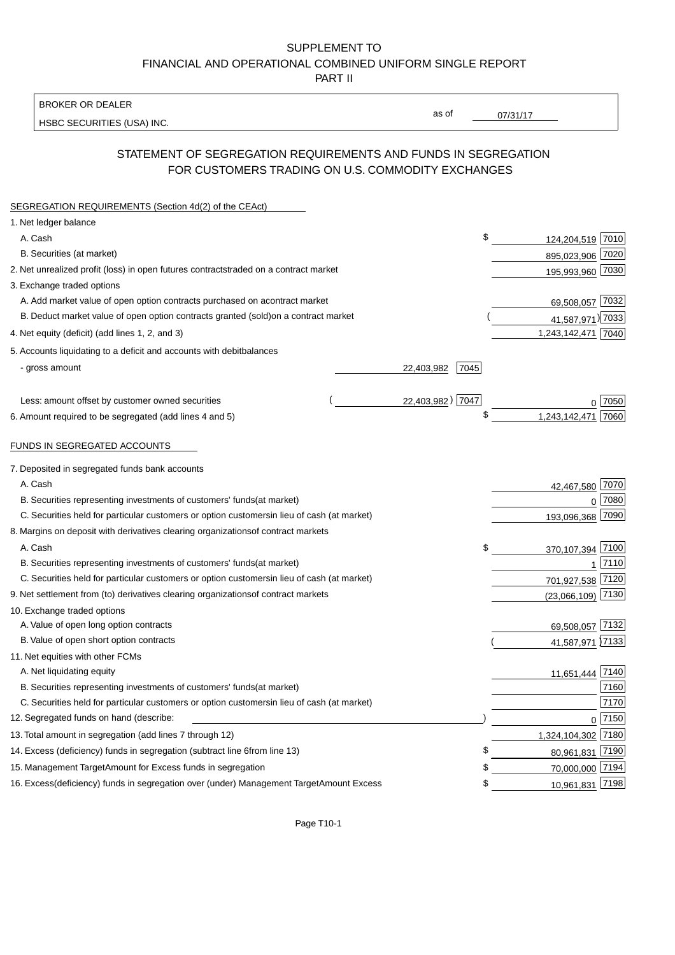BROKER OR DEALER

HSBC SECURITIES (USA) INC.

 $07/31/17$ 

as of

### STATEMENT OF SEGREGATION REQUIREMENTS AND FUNDS IN SEGREGATION FOR CUSTOMERS TRADING ON U.S. COMMODITY EXCHANGES

| SEGREGATION REQUIREMENTS (Section 4d(2) of the CEAct)                                          |                     |                     |          |
|------------------------------------------------------------------------------------------------|---------------------|---------------------|----------|
| 1. Net ledger balance                                                                          |                     |                     |          |
| A. Cash                                                                                        | \$                  | 124,204,519 7010    |          |
| B. Securities (at market)                                                                      |                     | 895,023,906 7020    |          |
| 2. Net unrealized profit (loss) in open futures contracts<br>traded on a contract market       |                     | 195,993,960 7030    |          |
| 3. Exchange traded options                                                                     |                     |                     |          |
| A. Add market value of open option contracts purchased on a<br>contract market                 |                     | 69,508,057 7032     |          |
| B. Deduct market value of open option contracts granted (sold)<br>on a contract market         |                     | 41,587,971) 7033    |          |
| 4. Net equity (deficit) (add lines 1, 2, and 3)                                                |                     | 1,243,142,471 7040  |          |
| 5. Accounts liquidating to a deficit and accounts with debit<br>balances                       |                     |                     |          |
| - gross amount                                                                                 | 7045<br>22,403,982  |                     |          |
|                                                                                                |                     |                     |          |
| Less: amount offset by customer owned securities                                               | 22,403,982)<br>7047 |                     | ი  7050  |
| 6. Amount required to be segregated (add lines 4 and 5)                                        | \$                  | 1,243,142,471       | 7060     |
|                                                                                                |                     |                     |          |
| FUNDS IN SEGREGATED ACCOUNTS                                                                   |                     |                     |          |
| 7. Deposited in segregated funds bank accounts                                                 |                     |                     |          |
| A. Cash                                                                                        |                     | 42,467,580          | 7070     |
| B. Securities representing investments of customers' funds<br>(at market)                      |                     | $\mathbf 0$         | 7080     |
| C. Securities held for particular customers or option customers<br>in lieu of cash (at market) |                     | 193,096,368         | 7090     |
| 8. Margins on deposit with derivatives clearing organizations<br>of contract markets           |                     |                     |          |
| A. Cash                                                                                        | \$                  | 370,107,394 7100    |          |
| B. Securities representing investments of customers' funds<br>(at market)                      |                     | 1                   | 7110     |
| C. Securities held for particular customers or option customers<br>in lieu of cash (at market) |                     | 701,927,538 7120    |          |
| 9. Net settlement from (to) derivatives clearing organizations<br>of contract markets          |                     | $(23,066,109)$ 7130 |          |
| 10. Exchange traded options                                                                    |                     |                     |          |
| A. Value of open long option contracts                                                         |                     | 69,508,057 7132     |          |
| B. Value of open short option contracts                                                        |                     | 41,587,971 7133     |          |
| 11. Net equities with other FCMs                                                               |                     |                     |          |
| A. Net liquidating equity                                                                      |                     | 11,651,444 7140     |          |
| B. Securities representing investments of customers' funds<br>(at market)                      |                     |                     | 7160     |
| C. Securities held for particular customers or option customers<br>in lieu of cash (at market) |                     |                     | 7170     |
| 12. Segregated funds on hand (describe:                                                        |                     |                     | $0$ 7150 |
| 13. Total amount in segregation (add lines 7 through 12)                                       |                     | 1,324,104,302 7180  |          |
| 14. Excess (deficiency) funds in segregation (subtract line 6 from line 13)                    | £                   | 80,961,831 7190     |          |
| 15. Management Target Amount for Excess funds in segregation                                   | \$                  | 70,000,000 7194     |          |
| 16. Excess (deficiency) funds in segregation over (under) Management Target Amount Excess      | \$                  | 10,961,831 7198     |          |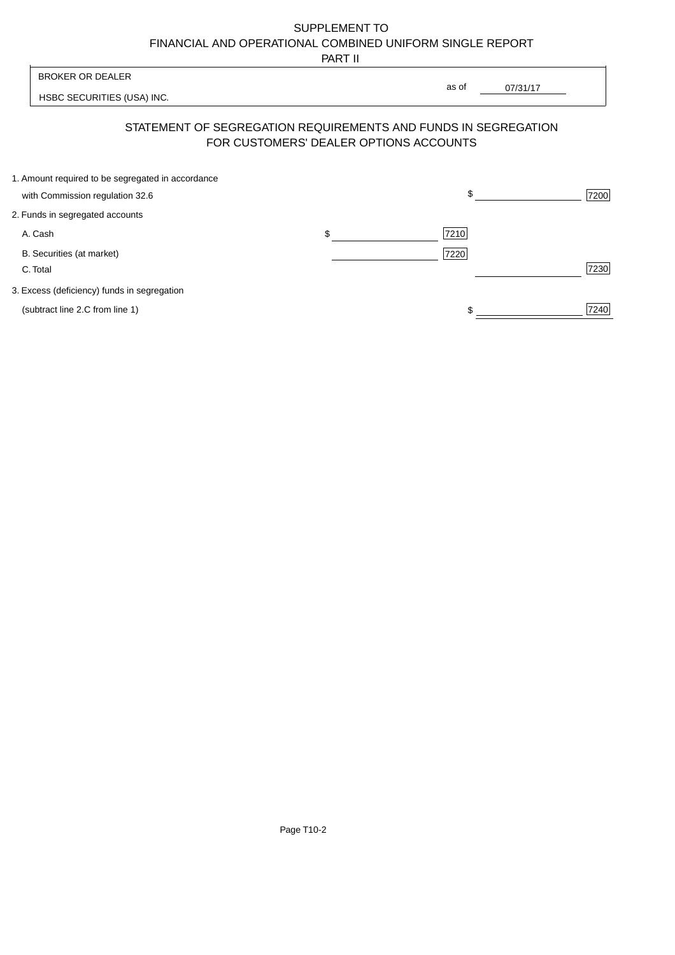PART II

| BROKER OR DEALER                                                                                         | as of |          |      |
|----------------------------------------------------------------------------------------------------------|-------|----------|------|
| HSBC SECURITIES (USA) INC.                                                                               |       | 07/31/17 |      |
| STATEMENT OF SEGREGATION REQUIREMENTS AND FUNDS IN SEGREGATION<br>FOR CUSTOMERS' DEALER OPTIONS ACCOUNTS |       |          |      |
| 1. Amount required to be segregated in accordance                                                        |       |          |      |
| with Commission regulation 32.6                                                                          | \$.   |          | 7200 |
| 2. Funds in segregated accounts                                                                          |       |          |      |
|                                                                                                          |       |          |      |

A. Cash 7210 \$

B. Securities (at market) 7220

C. Total 7230

3. Excess (deficiency) funds in segregation

(subtract line 2.C from line 1)  $\frac{1}{240}$  $$\frac{1}{2}$$ 

 $\overline{\phantom{a}}$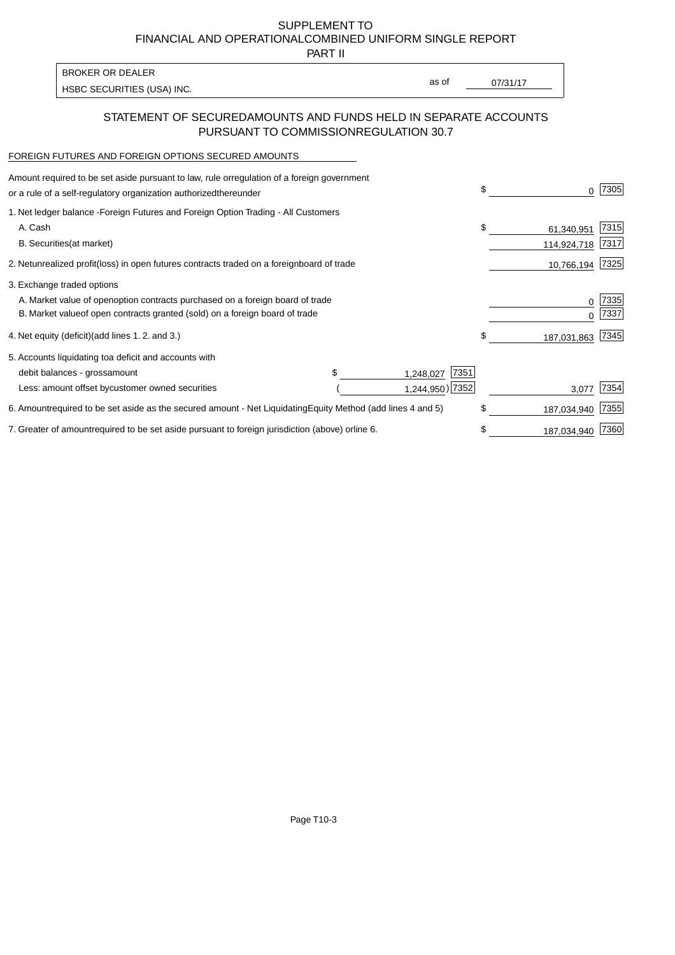PART II

HSBC SECURITIES (USA) INC. The state of the second second in the second second second second second second second second second second second second second second second second second second second second second second sec

as of

### STATEMENT OF SECURED AMOUNTS AND FUNDS HELD IN SEPARATE ACCOUNTS PURSUANT TO COMMISSION REGULATION 30.7

#### FOREIGN FUTURES AND FOREIGN OPTIONS SECURED AMOUNTS

BROKER OR DEALER

| regulation of a foreign government<br>Amount required to be set aside pursuant to law, rule or<br>or a rule of a self-regulatory organization authorized<br>thereunder                       | \$                              | 7305         |
|----------------------------------------------------------------------------------------------------------------------------------------------------------------------------------------------|---------------------------------|--------------|
| 1. Net ledger balance - Foreign Futures and Foreign Option Trading - All Customers<br>A. Cash<br><b>B.</b> Securities<br>(at market)                                                         | \$<br>61,340,951<br>114,924,718 | 7315<br>7317 |
| unrealized profit (loss) in open futures contracts traded on a foreign<br>2. Net<br>board of trade                                                                                           | 10,766,194                      | 7325         |
| 3. Exchange traded options<br>A. Market value of open option contracts purchased on a foreign board of trade<br>B. Market value of open contracts granted (sold) on a foreign board of trade | $\Omega$                        | 7335<br>7337 |
| (add lines 1.2. and 3.)<br>4. Net equity (deficit)                                                                                                                                           | \$<br>187,031,863               | 7345         |
| 5. Accounts liquidating to a deficit and accounts with<br>7351<br>debit balances - gross<br>amount<br>1,248,027<br>1,244,950) 7352<br>Less: amount offset by customer owned securities       | 3,077                           | 7354         |
| 6. Amount required to be set aside as the secured amount - Net Liquidating<br>Equity Method (add lines 4 and 5)                                                                              | \$<br>187,034,940               | 7355         |
| 7. Greater of amount required to be set aside pursuant to foreign jurisdiction (above) or line 6.                                                                                            | 187,034,940                     | 7360         |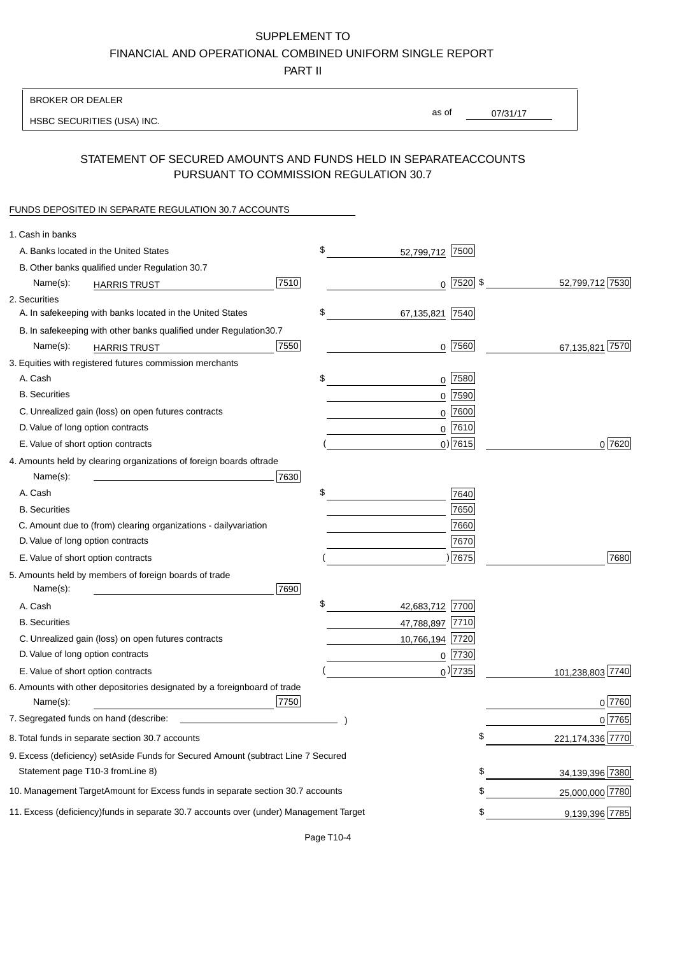PART II

| <b>BROKER OR DEALER</b>                                                                           |                       |                 |                    |
|---------------------------------------------------------------------------------------------------|-----------------------|-----------------|--------------------|
| HSBC SECURITIES (USA) INC.                                                                        | as of                 | 07/31/17        |                    |
|                                                                                                   |                       |                 |                    |
| STATEMENT OF SECURED AMOUNTS AND FUNDS HELD IN SEPARATE<br>PURSUANT TO COMMISSION REGULATION 30.7 |                       | <b>ACCOUNTS</b> |                    |
| FUNDS DEPOSITED IN SEPARATE REGULATION 30.7 ACCOUNTS                                              |                       |                 |                    |
| 1. Cash in banks                                                                                  |                       |                 |                    |
| A. Banks located in the United States                                                             | \$<br>52,799,712 7500 |                 |                    |
| B. Other banks qualified under Regulation 30.7                                                    |                       |                 |                    |
| 7510<br>Name(s):<br><b>HARRIS TRUST</b>                                                           | $0$  7520  \$         |                 | 52,799,712 7530    |
| 2. Securities                                                                                     |                       |                 |                    |
| A. In safekeeping with banks located in the United States                                         | \$<br>67,135,821 7540 |                 |                    |
| B. In safekeeping with other banks qualified under Regulation<br>30.7                             |                       |                 |                    |
| 7550<br>Name(s):<br><b>HARRIS TRUST</b>                                                           | $0$ 7560              |                 | 67,135,821 7570    |
| 3. Equities with registered futures commission merchants                                          |                       |                 |                    |
| A. Cash                                                                                           | \$<br>$0$ 7580        |                 |                    |
| <b>B.</b> Securities                                                                              | 7590<br>0             |                 |                    |
| C. Unrealized gain (loss) on open futures contracts                                               | 7600<br>$\mathbf 0$   |                 |                    |
| D. Value of long option contracts                                                                 | $0$ 7610              |                 |                    |
| E. Value of short option contracts                                                                | $0)$ 7615             |                 | 0 7620             |
| 4. Amounts held by clearing organizations of foreign boards of<br>trade                           |                       |                 |                    |
| Name(s):<br>7630                                                                                  |                       |                 |                    |
| A. Cash                                                                                           | \$<br>7640            |                 |                    |
| <b>B.</b> Securities                                                                              | 7650                  |                 |                    |
| C. Amount due to (from) clearing organizations - daily<br>variation                               | 7660                  |                 |                    |
| D. Value of long option contracts                                                                 | 7670                  |                 |                    |
| E. Value of short option contracts                                                                | ) 7675                |                 | 7680               |
| 5. Amounts held by members of foreign boards of trade<br>Name(s):<br>7690                         |                       |                 |                    |
| A. Cash                                                                                           | \$<br>42,683,712 7700 |                 |                    |
| <b>B.</b> Securities                                                                              | 47,788,897 7710       |                 |                    |
| C. Unrealized gain (loss) on open futures contracts                                               | 10,766,194 7720       |                 |                    |
| D. Value of long option contracts                                                                 | $0$ 7730              |                 |                    |
| E. Value of short option contracts                                                                | $_0$ ) 7735           |                 | 101,238,803 7740   |
| 6. Amounts with other depositories designated by a foreign<br>board of trade<br>7750<br>Name(s):  |                       |                 | 0 7760             |
| 7. Segregated funds on hand (describe:                                                            |                       |                 | 0 7765             |
| 8. Total funds in separate section 30.7 accounts                                                  |                       | \$              | 221, 174, 336 7770 |
| 9. Excess (deficiency) set Aside Funds for Secured Amount (subtract Line 7 Secured                |                       |                 |                    |
| Statement page T10-3 from Line 8)                                                                 |                       | \$              | 34,139,396 7380    |
| 10. Management Target Amount for Excess funds in separate section 30.7 accounts                   |                       | \$              | 25,000,000 7780    |
|                                                                                                   |                       |                 |                    |
| 11. Excess (deficiency) funds in separate 30.7 accounts over (under) Management Target            |                       | \$              | 9,139,396 7785     |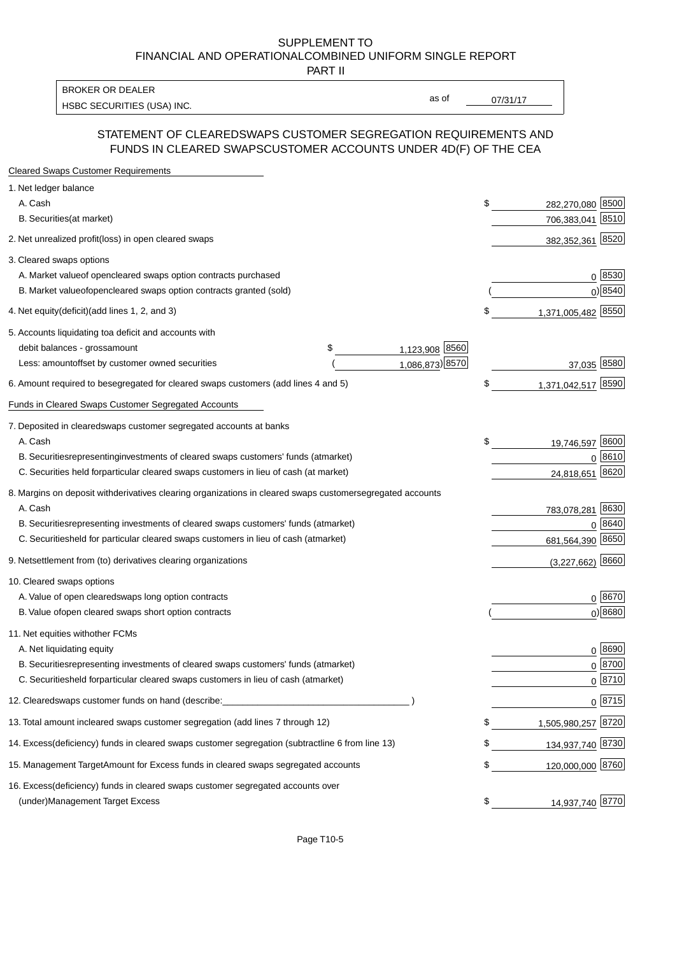PART II

HSBC SECURITIES (USA) INC. The state of the second second second second second second second second second second second second second second second second second second second second second second second second second sec BROKER OR DEALER

as of

#### STATEMENT OF CLEARED SWAPS CUSTOMER SEGREGATION REQUIREMENTS AND FUNDS IN CLEARED SWAPS CUSTOMER ACCOUNTS UNDER 4D(F) OF THE CEA

| <b>Cleared Swaps Customer Requirements</b>                                                                  |    |                     |
|-------------------------------------------------------------------------------------------------------------|----|---------------------|
| 1. Net ledger balance                                                                                       |    |                     |
| A. Cash                                                                                                     | \$ | 282,270,080 8500    |
| B. Securities (at market)                                                                                   |    | 8510<br>706,383,041 |
| 2. Net unrealized profit (loss) in open cleared swaps                                                       |    | 382,352,361 8520    |
| 3. Cleared swaps options                                                                                    |    |                     |
| A. Market value of open cleared swaps option contracts purchased                                            |    | 0   8530            |
| B. Market value of open cleared swaps option contracts granted (sold)                                       |    | $0)$ 8540           |
| 4. Net equity (deficit) (add lines 1, 2, and 3)                                                             | \$ | 1,371,005,482 8550  |
| 5. Accounts liquidating to a deficit and accounts with                                                      |    |                     |
| 1,123,908 8560<br>debit balances - gross<br>\$<br>amount                                                    |    |                     |
| 1,086,873) 8570<br>Less: amount offset by customer owned securities                                         |    | 37,035 8580         |
| 6. Amount required to be segregated for cleared swaps customers (add lines 4 and 5)                         | S  | 1,371,042,517 8590  |
| Funds in Cleared Swaps Customer Segregated Accounts                                                         |    |                     |
| 7. Deposited in cleared swaps customer segregated accounts at banks                                         |    |                     |
| A. Cash                                                                                                     | \$ | 19,746,597 8600     |
| B. Securities representing investments of cleared swaps customers' funds (at market)                        |    | $0^{8610}$          |
| C. Securities held for particular cleared swaps customers in lieu of cash (at market)                       |    | 8620<br>24,818,651  |
| 8. Margins on deposit with derivatives clearing organizations in cleared swaps customer segregated accounts |    |                     |
| A. Cash                                                                                                     |    | 783,078,281 8630    |
| representing investments of cleared swaps customers' funds (at market)<br><b>B.</b> Securities              |    | 8640<br>0           |
| C. Securities held for particular cleared swaps customers in lieu of cash (at market)                       |    | 681,564,390 8650    |
| 9. Net settlement from (to) derivatives clearing organizations                                              |    | $(3,227,662)$ 8660  |
| 10. Cleared swaps options                                                                                   |    |                     |
| A. Value of open cleared swaps long option contracts                                                        |    | $0^{8670}$          |
| B. Value of open cleared swaps short option contracts                                                       |    | $0$ ) 8680          |
| 11. Net equities with other FCMs                                                                            |    |                     |
| A. Net liquidating equity                                                                                   |    | $0^{8690}$          |
| B. Securities representing investments of cleared swaps customers' funds (at market)                        |    | $0^{8700}$          |
| C. Securities held for particular cleared swaps customers in lieu of cash (at market)                       |    | 0 8710              |
| 12. Cleared swaps customer funds on hand (describe:                                                         |    | $0 \;  8715 $       |
| 13. Total amount in cleared swaps customer segregation (add lines 7 through 12)                             | S  | 1,505,980,257 8720  |
| 14. Excess (deficiency) funds in cleared swaps customer segregation (subtract line 6 from line 13)          |    | 134,937,740 8730    |
| 15. Management Target Amount for Excess funds in cleared swaps segregated accounts                          | \$ | 120,000,000 8760    |
| 16. Excess<br>(deficiency) funds in cleared swaps customer segregated accounts over                         |    |                     |
| <b>Management Target Excess</b><br>(under)                                                                  | \$ | 14,937,740 8770     |